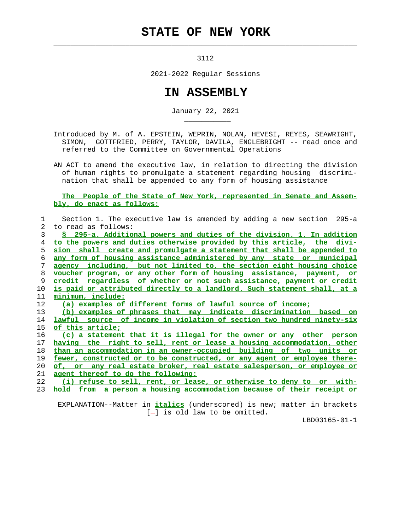## **STATE OF NEW YORK**

3112

 $\mathcal{L}_\text{max} = \frac{1}{2} \sum_{i=1}^{n} \frac{1}{2} \sum_{i=1}^{n} \frac{1}{2} \sum_{i=1}^{n} \frac{1}{2} \sum_{i=1}^{n} \frac{1}{2} \sum_{i=1}^{n} \frac{1}{2} \sum_{i=1}^{n} \frac{1}{2} \sum_{i=1}^{n} \frac{1}{2} \sum_{i=1}^{n} \frac{1}{2} \sum_{i=1}^{n} \frac{1}{2} \sum_{i=1}^{n} \frac{1}{2} \sum_{i=1}^{n} \frac{1}{2} \sum_{i=1}^{n} \frac{1$ 

\_\_\_\_\_\_\_\_\_\_\_

2021-2022 Regular Sessions

## **IN ASSEMBLY**

January 22, 2021

 Introduced by M. of A. EPSTEIN, WEPRIN, NOLAN, HEVESI, REYES, SEAWRIGHT, SIMON, GOTTFRIED, PERRY, TAYLOR, DAVILA, ENGLEBRIGHT -- read once and referred to the Committee on Governmental Operations

 AN ACT to amend the executive law, in relation to directing the division of human rights to promulgate a statement regarding housing discrimi nation that shall be appended to any form of housing assistance

## **The People of the State of New York, represented in Senate and Assem bly, do enact as follows:**

| $\mathbf{1}$   | Section 1. The executive law is amended by adding a new section 295-a    |
|----------------|--------------------------------------------------------------------------|
| $\overline{2}$ | to read as follows:                                                      |
| 3              | S 295-a. Additional powers and duties of the division. 1. In addition    |
| 4              | to the powers and duties otherwise provided by this article, the divi-   |
| 5.             | sion shall create and promulgate a statement that shall be appended to   |
| 6              | any form of housing assistance administered by any state or municipal    |
| 7              | agency including, but not limited to, the section eight housing choice   |
| 8              | voucher program, or any other form of housing assistance, payment, or    |
| 9              | credit regardless of whether or not such assistance, payment or credit   |
| 10             | is paid or attributed directly to a landlord. Such statement shall, at a |
| 11             | minimum, include:                                                        |
| 12             | (a) examples of different forms of lawful source of income;              |
| 13             | (b) examples of phrases that may indicate discrimination based on        |
| 14             | lawful source of income in violation of section two hundred ninety-six   |
| 15             | of this article;                                                         |
| 16             | (c) a statement that it is illegal for the owner or any other person     |
| 17             | having the right to sell, rent or lease a housing accommodation, other   |
| 18             | than an accommodation in an owner-occupied building of two units or      |
| 19             | fewer, constructed or to be constructed, or any agent or employee there- |
| 20             | of, or any real estate broker, real estate salesperson, or employee or   |
| 21             | agent thereof to do the following:                                       |
| 22             | (i) refuse to sell, rent, or lease, or otherwise to deny to or with-     |
| 23             | hold from a person a housing accommodation because of their receipt or   |

 EXPLANATION--Matter in **italics** (underscored) is new; matter in brackets  $[-]$  is old law to be omitted.

LBD03165-01-1